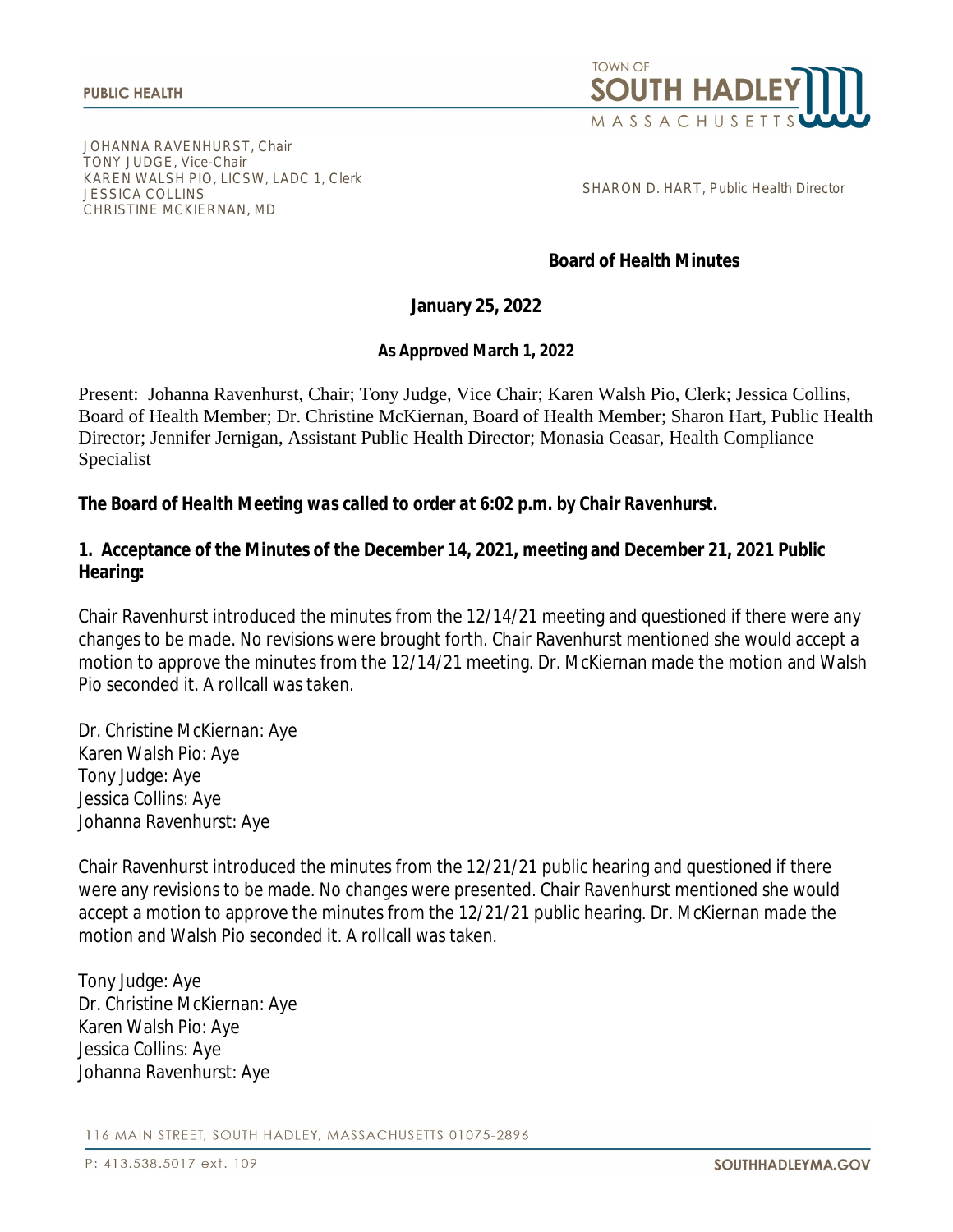

JOHANNA RAVENHURST, Chair TONY JUDGE, Vice-Chair KAREN WALSH PIO, LICSW, LADC 1, Clerk JESSICA COLLINS CHRISTINE MCKIERNAN, MD

SHARON D. HART, Public Health Director

#### **Board of Health Minutes**

#### **January 25, 2022**

#### **As Approved March 1, 2022**

Present: Johanna Ravenhurst, Chair; Tony Judge, Vice Chair; Karen Walsh Pio, Clerk; Jessica Collins, Board of Health Member; Dr. Christine McKiernan, Board of Health Member; Sharon Hart, Public Health Director; Jennifer Jernigan, Assistant Public Health Director; Monasia Ceasar, Health Compliance Specialist

#### *The Board of Health Meeting was called to order at 6:02 p.m. by Chair Ravenhurst.*

#### **1. Acceptance of the Minutes of the December 14, 2021, meeting and December 21, 2021 Public Hearing:**

Chair Ravenhurst introduced the minutes from the 12/14/21 meeting and questioned if there were any changes to be made. No revisions were brought forth. Chair Ravenhurst mentioned she would accept a motion to approve the minutes from the 12/14/21 meeting. Dr. McKiernan made the motion and Walsh Pio seconded it. A rollcall was taken.

Dr. Christine McKiernan: Aye Karen Walsh Pio: Aye Tony Judge: Aye Jessica Collins: Aye Johanna Ravenhurst: Aye

Chair Ravenhurst introduced the minutes from the 12/21/21 public hearing and questioned if there were any revisions to be made. No changes were presented. Chair Ravenhurst mentioned she would accept a motion to approve the minutes from the 12/21/21 public hearing. Dr. McKiernan made the motion and Walsh Pio seconded it. A rollcall was taken.

Tony Judge: Aye Dr. Christine McKiernan: Aye Karen Walsh Pio: Aye Jessica Collins: Aye Johanna Ravenhurst: Aye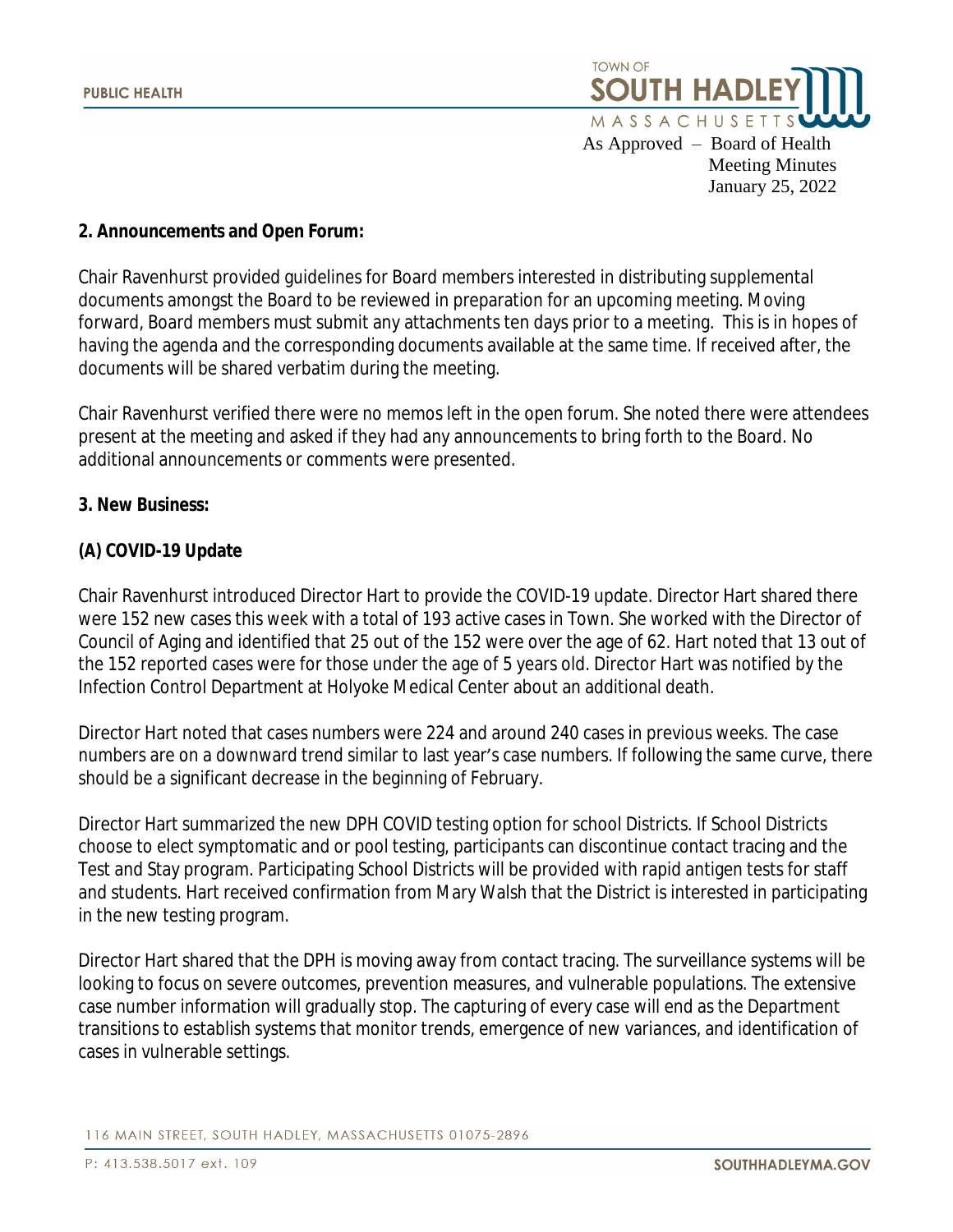

#### **2. Announcements and Open Forum:**

Chair Ravenhurst provided guidelines for Board members interested in distributing supplemental documents amongst the Board to be reviewed in preparation for an upcoming meeting. Moving forward, Board members must submit any attachments ten days prior to a meeting. This is in hopes of having the agenda and the corresponding documents available at the same time. If received after, the documents will be shared verbatim during the meeting.

Chair Ravenhurst verified there were no memos left in the open forum. She noted there were attendees present at the meeting and asked if they had any announcements to bring forth to the Board. No additional announcements or comments were presented.

#### **3. New Business:**

# **(A) COVID-19 Update**

Chair Ravenhurst introduced Director Hart to provide the COVID-19 update. Director Hart shared there were 152 new cases this week with a total of 193 active cases in Town. She worked with the Director of Council of Aging and identified that 25 out of the 152 were over the age of 62. Hart noted that 13 out of the 152 reported cases were for those under the age of 5 years old. Director Hart was notified by the Infection Control Department at Holyoke Medical Center about an additional death.

Director Hart noted that cases numbers were 224 and around 240 cases in previous weeks. The case numbers are on a downward trend similar to last year's case numbers. If following the same curve, there should be a significant decrease in the beginning of February.

Director Hart summarized the new DPH COVID testing option for school Districts. If School Districts choose to elect symptomatic and or pool testing, participants can discontinue contact tracing and the Test and Stay program. Participating School Districts will be provided with rapid antigen tests for staff and students. Hart received confirmation from Mary Walsh that the District is interested in participating in the new testing program.

Director Hart shared that the DPH is moving away from contact tracing. The surveillance systems will be looking to focus on severe outcomes, prevention measures, and vulnerable populations. The extensive case number information will gradually stop. The capturing of every case will end as the Department transitions to establish systems that monitor trends, emergence of new variances, and identification of cases in vulnerable settings.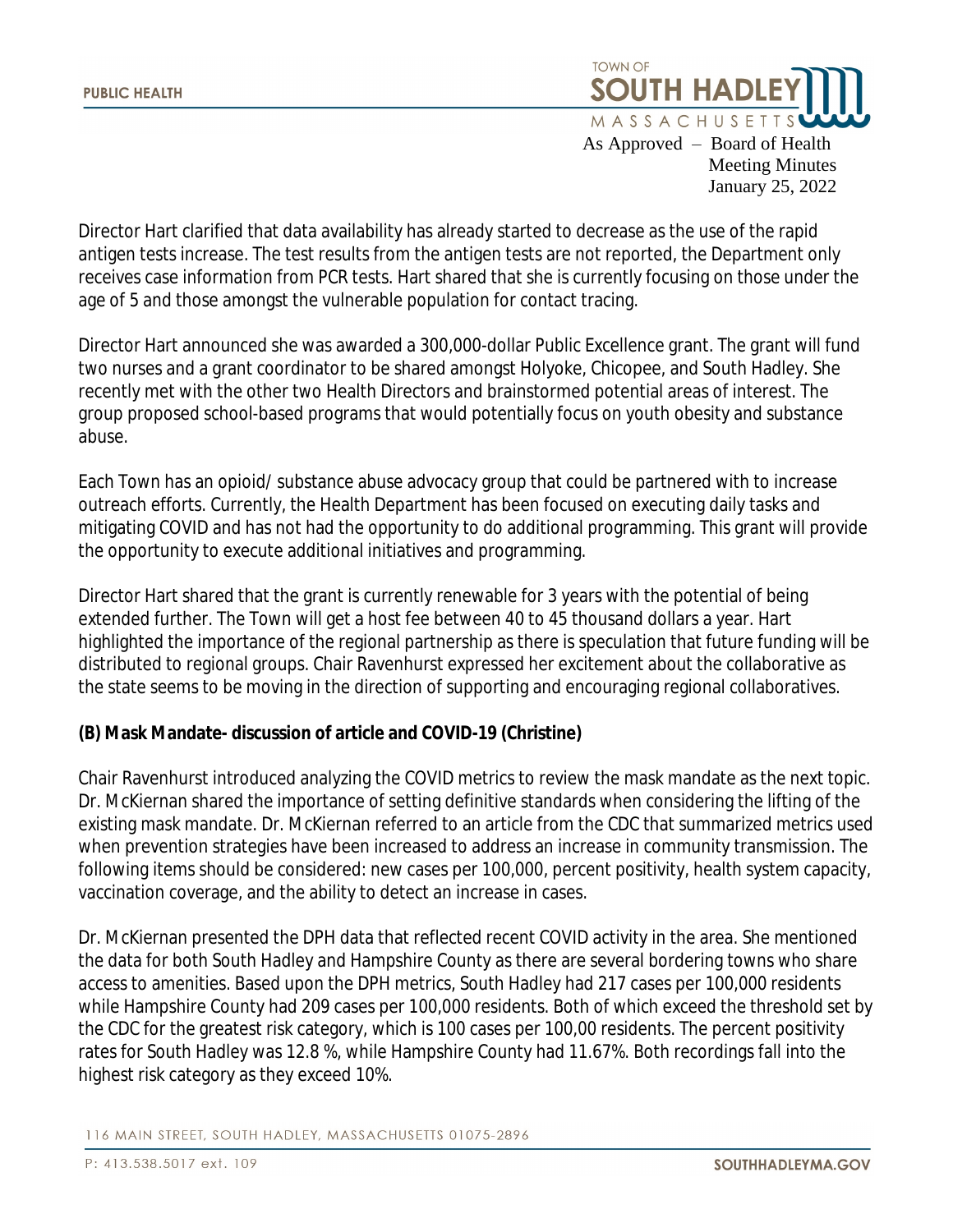

Director Hart clarified that data availability has already started to decrease as the use of the rapid antigen tests increase. The test results from the antigen tests are not reported, the Department only receives case information from PCR tests. Hart shared that she is currently focusing on those under the age of 5 and those amongst the vulnerable population for contact tracing.

Director Hart announced she was awarded a 300,000-dollar Public Excellence grant. The grant will fund two nurses and a grant coordinator to be shared amongst Holyoke, Chicopee, and South Hadley. She recently met with the other two Health Directors and brainstormed potential areas of interest. The group proposed school-based programs that would potentially focus on youth obesity and substance abuse.

Each Town has an opioid/ substance abuse advocacy group that could be partnered with to increase outreach efforts. Currently, the Health Department has been focused on executing daily tasks and mitigating COVID and has not had the opportunity to do additional programming. This grant will provide the opportunity to execute additional initiatives and programming.

Director Hart shared that the grant is currently renewable for 3 years with the potential of being extended further. The Town will get a host fee between 40 to 45 thousand dollars a year. Hart highlighted the importance of the regional partnership as there is speculation that future funding will be distributed to regional groups. Chair Ravenhurst expressed her excitement about the collaborative as the state seems to be moving in the direction of supporting and encouraging regional collaboratives.

# **(B) Mask Mandate- discussion of article and COVID-19 (Christine)**

Chair Ravenhurst introduced analyzing the COVID metrics to review the mask mandate as the next topic. Dr. McKiernan shared the importance of setting definitive standards when considering the lifting of the existing mask mandate. Dr. McKiernan referred to an article from the CDC that summarized metrics used when prevention strategies have been increased to address an increase in community transmission. The following items should be considered: new cases per 100,000, percent positivity, health system capacity, vaccination coverage, and the ability to detect an increase in cases.

Dr. McKiernan presented the DPH data that reflected recent COVID activity in the area. She mentioned the data for both South Hadley and Hampshire County as there are several bordering towns who share access to amenities. Based upon the DPH metrics, South Hadley had 217 cases per 100,000 residents while Hampshire County had 209 cases per 100,000 residents. Both of which exceed the threshold set by the CDC for the greatest risk category, which is 100 cases per 100,00 residents. The percent positivity rates for South Hadley was 12.8 %, while Hampshire County had 11.67%. Both recordings fall into the highest risk category as they exceed 10%.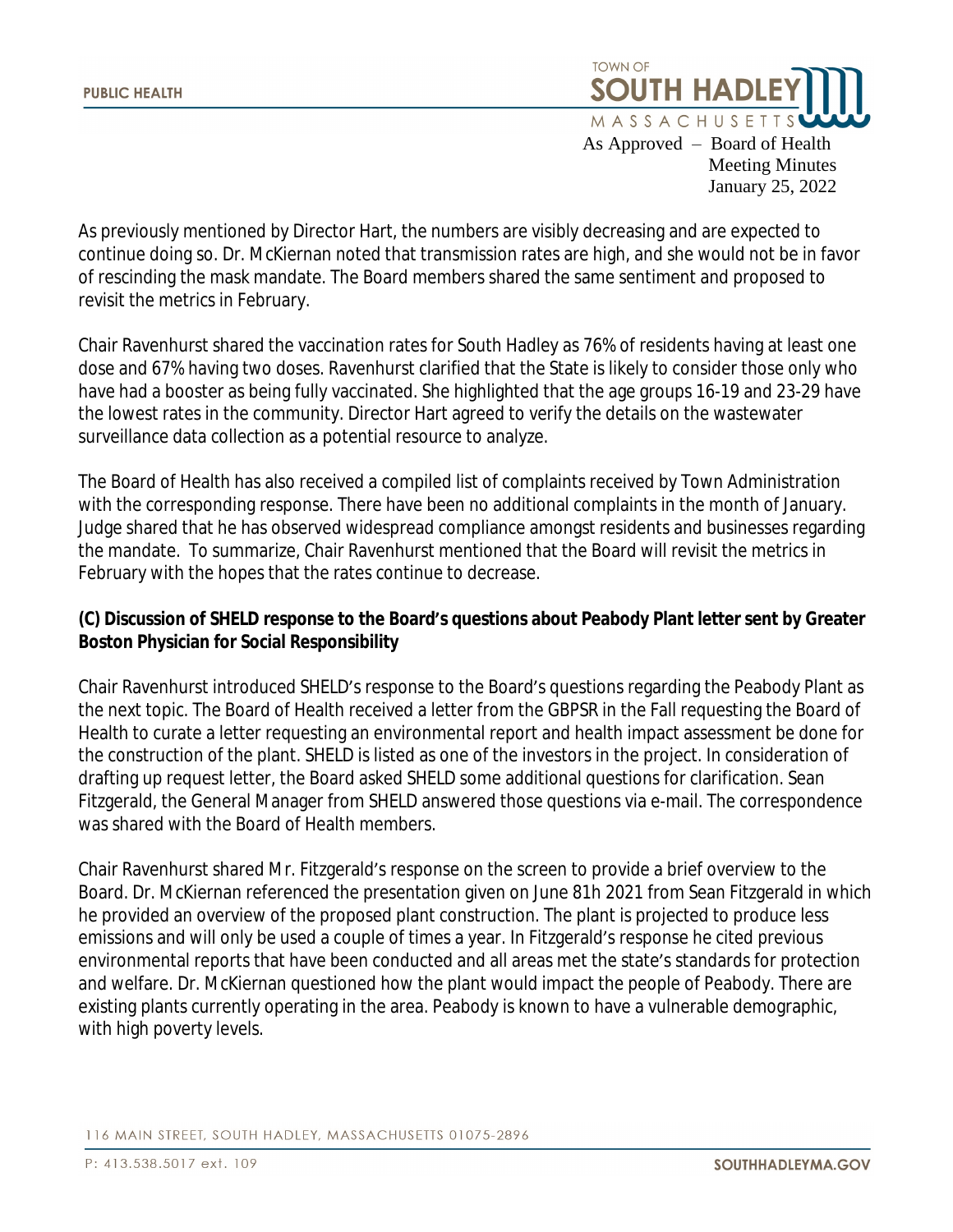

As previously mentioned by Director Hart, the numbers are visibly decreasing and are expected to continue doing so. Dr. McKiernan noted that transmission rates are high, and she would not be in favor of rescinding the mask mandate. The Board members shared the same sentiment and proposed to revisit the metrics in February.

Chair Ravenhurst shared the vaccination rates for South Hadley as 76% of residents having at least one dose and 67% having two doses. Ravenhurst clarified that the State is likely to consider those only who have had a booster as being fully vaccinated. She highlighted that the age groups 16-19 and 23-29 have the lowest rates in the community. Director Hart agreed to verify the details on the wastewater surveillance data collection as a potential resource to analyze.

The Board of Health has also received a compiled list of complaints received by Town Administration with the corresponding response. There have been no additional complaints in the month of January. Judge shared that he has observed widespread compliance amongst residents and businesses regarding the mandate. To summarize, Chair Ravenhurst mentioned that the Board will revisit the metrics in February with the hopes that the rates continue to decrease.

# **(C) Discussion of SHELD response to the Board's questions about Peabody Plant letter sent by Greater Boston Physician for Social Responsibility**

Chair Ravenhurst introduced SHELD's response to the Board's questions regarding the Peabody Plant as the next topic. The Board of Health received a letter from the GBPSR in the Fall requesting the Board of Health to curate a letter requesting an environmental report and health impact assessment be done for the construction of the plant. SHELD is listed as one of the investors in the project. In consideration of drafting up request letter, the Board asked SHELD some additional questions for clarification. Sean Fitzgerald, the General Manager from SHELD answered those questions via e-mail. The correspondence was shared with the Board of Health members.

Chair Ravenhurst shared Mr. Fitzgerald's response on the screen to provide a brief overview to the Board. Dr. McKiernan referenced the presentation given on June 81h 2021 from Sean Fitzgerald in which he provided an overview of the proposed plant construction. The plant is projected to produce less emissions and will only be used a couple of times a year. In Fitzgerald's response he cited previous environmental reports that have been conducted and all areas met the state's standards for protection and welfare. Dr. McKiernan questioned how the plant would impact the people of Peabody. There are existing plants currently operating in the area. Peabody is known to have a vulnerable demographic, with high poverty levels.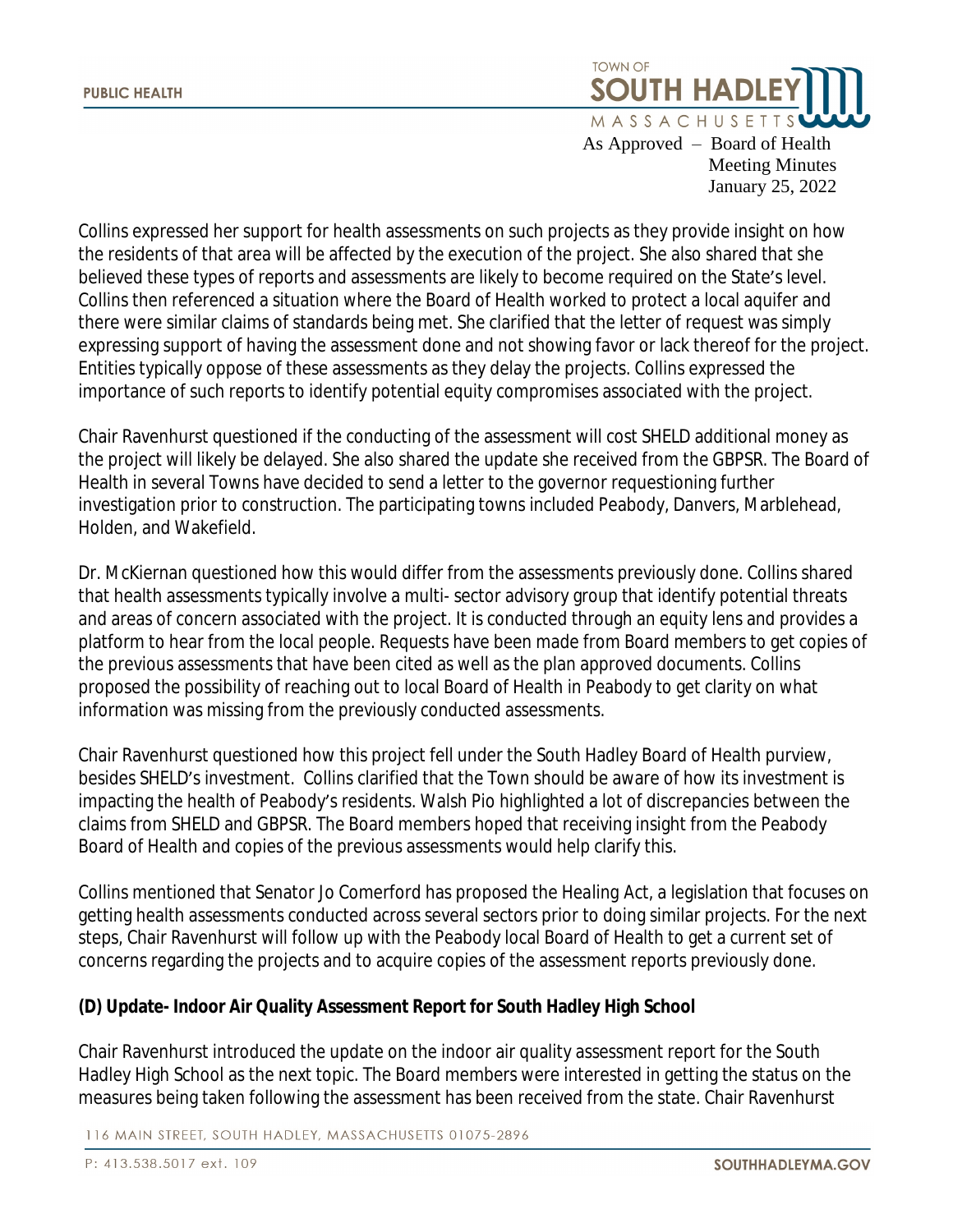

Collins expressed her support for health assessments on such projects as they provide insight on how the residents of that area will be affected by the execution of the project. She also shared that she believed these types of reports and assessments are likely to become required on the State's level. Collins then referenced a situation where the Board of Health worked to protect a local aquifer and there were similar claims of standards being met. She clarified that the letter of request was simply expressing support of having the assessment done and not showing favor or lack thereof for the project. Entities typically oppose of these assessments as they delay the projects. Collins expressed the importance of such reports to identify potential equity compromises associated with the project.

Chair Ravenhurst questioned if the conducting of the assessment will cost SHELD additional money as the project will likely be delayed. She also shared the update she received from the GBPSR. The Board of Health in several Towns have decided to send a letter to the governor requestioning further investigation prior to construction. The participating towns included Peabody, Danvers, Marblehead, Holden, and Wakefield.

Dr. McKiernan questioned how this would differ from the assessments previously done. Collins shared that health assessments typically involve a multi- sector advisory group that identify potential threats and areas of concern associated with the project. It is conducted through an equity lens and provides a platform to hear from the local people. Requests have been made from Board members to get copies of the previous assessments that have been cited as well as the plan approved documents. Collins proposed the possibility of reaching out to local Board of Health in Peabody to get clarity on what information was missing from the previously conducted assessments.

Chair Ravenhurst questioned how this project fell under the South Hadley Board of Health purview, besides SHELD's investment. Collins clarified that the Town should be aware of how its investment is impacting the health of Peabody's residents. Walsh Pio highlighted a lot of discrepancies between the claims from SHELD and GBPSR. The Board members hoped that receiving insight from the Peabody Board of Health and copies of the previous assessments would help clarify this.

Collins mentioned that Senator Jo Comerford has proposed the *Healing Act*, a legislation that focuses on getting health assessments conducted across several sectors prior to doing similar projects. For the next steps, Chair Ravenhurst will follow up with the Peabody local Board of Health to get a current set of concerns regarding the projects and to acquire copies of the assessment reports previously done.

# **(D) Update- Indoor Air Quality Assessment Report for South Hadley High School**

Chair Ravenhurst introduced the update on the indoor air quality assessment report for the South Hadley High School as the next topic. The Board members were interested in getting the status on the measures being taken following the assessment has been received from the state. Chair Ravenhurst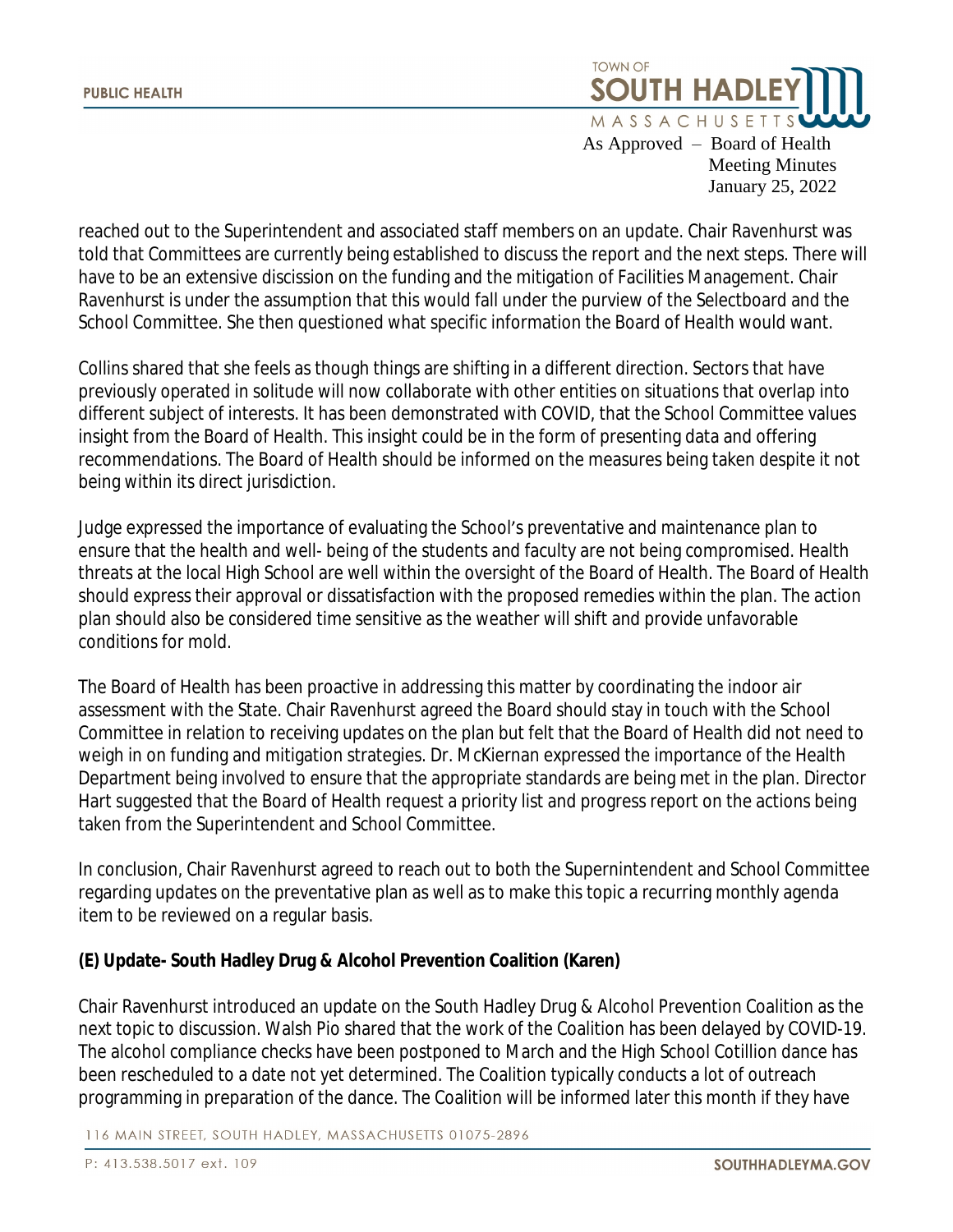

reached out to the Superintendent and associated staff members on an update. Chair Ravenhurst was told that Committees are currently being established to discuss the report and the next steps. There will have to be an extensive discission on the funding and the mitigation of Facilities Management. Chair Ravenhurst is under the assumption that this would fall under the purview of the Selectboard and the School Committee. She then questioned what specific information the Board of Health would want.

Collins shared that she feels as though things are shifting in a different direction. Sectors that have previously operated in solitude will now collaborate with other entities on situations that overlap into different subject of interests. It has been demonstrated with COVID, that the School Committee values insight from the Board of Health. This insight could be in the form of presenting data and offering recommendations. The Board of Health should be informed on the measures being taken despite it not being within its direct jurisdiction.

Judge expressed the importance of evaluating the School's preventative and maintenance plan to ensure that the health and well- being of the students and faculty are not being compromised. Health threats at the local High School are well within the oversight of the Board of Health. The Board of Health should express their approval or dissatisfaction with the proposed remedies within the plan. The action plan should also be considered time sensitive as the weather will shift and provide unfavorable conditions for mold.

The Board of Health has been proactive in addressing this matter by coordinating the indoor air assessment with the State. Chair Ravenhurst agreed the Board should stay in touch with the School Committee in relation to receiving updates on the plan but felt that the Board of Health did not need to weigh in on funding and mitigation strategies. Dr. McKiernan expressed the importance of the Health Department being involved to ensure that the appropriate standards are being met in the plan. Director Hart suggested that the Board of Health request a priority list and progress report on the actions being taken from the Superintendent and School Committee.

In conclusion, Chair Ravenhurst agreed to reach out to both the Supernintendent and School Committee regarding updates on the preventative plan as well as to make this topic a recurring monthly agenda item to be reviewed on a regular basis.

# **(E) Update- South Hadley Drug & Alcohol Prevention Coalition (Karen)**

Chair Ravenhurst introduced an update on the South Hadley Drug & Alcohol Prevention Coalition as the next topic to discussion. Walsh Pio shared that the work of the Coalition has been delayed by COVID-19. The alcohol compliance checks have been postponed to March and the High School Cotillion dance has been rescheduled to a date not yet determined. The Coalition typically conducts a lot of outreach programming in preparation of the dance. The Coalition will be informed later this month if they have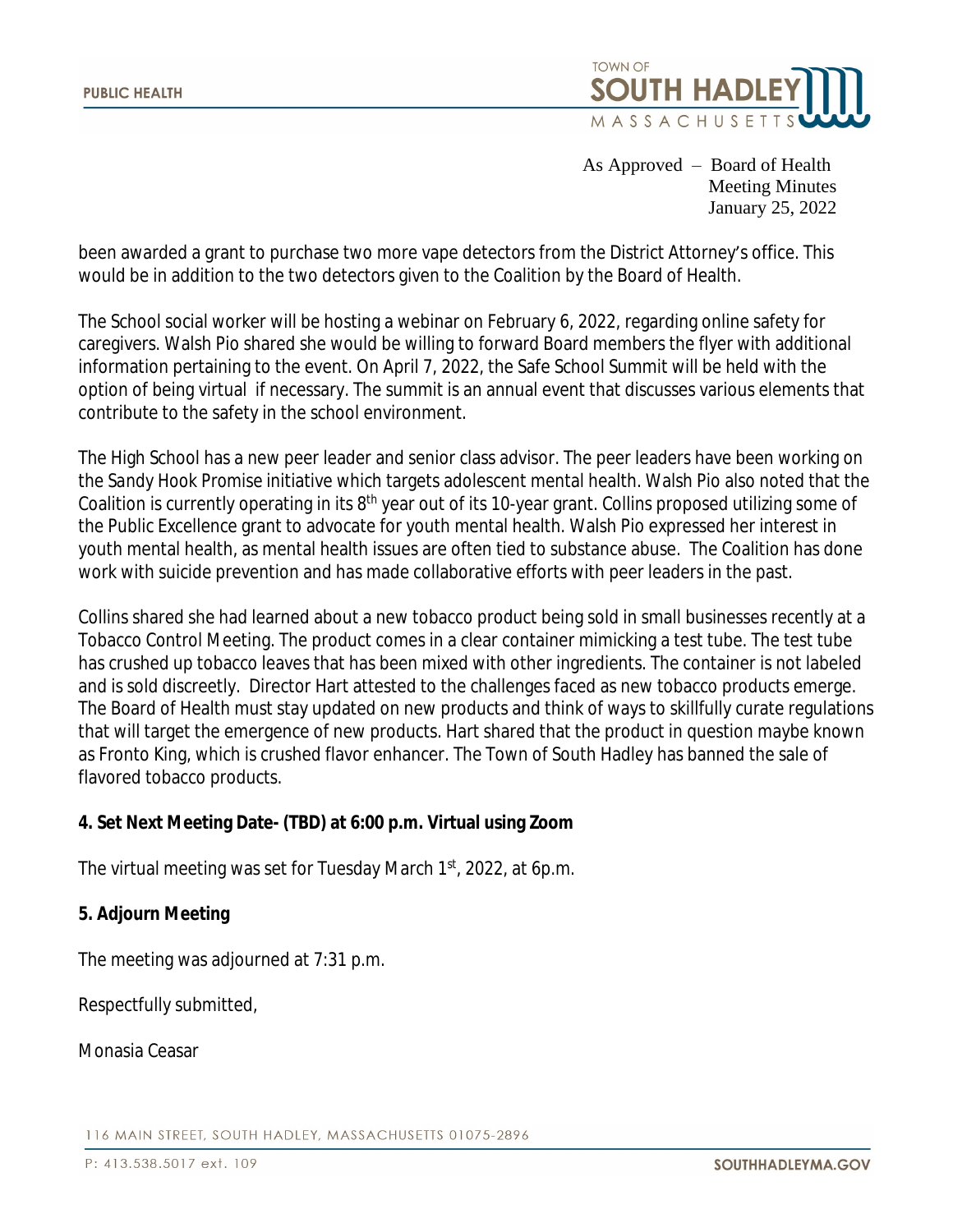

been awarded a grant to purchase two more vape detectors from the District Attorney's office. This would be in addition to the two detectors given to the Coalition by the Board of Health.

The School social worker will be hosting a webinar on February 6, 2022, regarding online safety for caregivers. Walsh Pio shared she would be willing to forward Board members the flyer with additional information pertaining to the event. On April 7, 2022, the Safe School Summit will be held with the option of being virtual if necessary. The summit is an annual event that discusses various elements that contribute to the safety in the school environment.

The High School has a new peer leader and senior class advisor. The peer leaders have been working on the *Sandy Hook Promise* initiative which targets adolescent mental health. Walsh Pio also noted that the Coalition is currently operating in its 8<sup>th</sup> year out of its 10-year grant. Collins proposed utilizing some of the Public Excellence grant to advocate for youth mental health. Walsh Pio expressed her interest in youth mental health, as mental health issues are often tied to substance abuse. The Coalition has done work with suicide prevention and has made collaborative efforts with peer leaders in the past.

Collins shared she had learned about a new tobacco product being sold in small businesses recently at a Tobacco Control Meeting. The product comes in a clear container mimicking a test tube. The test tube has crushed up tobacco leaves that has been mixed with other ingredients. The container is not labeled and is sold discreetly. Director Hart attested to the challenges faced as new tobacco products emerge. The Board of Health must stay updated on new products and think of ways to skillfully curate regulations that will target the emergence of new products. Hart shared that the product in question maybe known as Fronto King, which is crushed flavor enhancer. The Town of South Hadley has banned the sale of flavored tobacco products.

# **4. Set Next Meeting Date- (TBD) at 6:00 p.m. Virtual using Zoom**

The virtual meeting was set for Tuesday March 1<sup>st</sup>, 2022, at 6p.m.

# **5. Adjourn Meeting**

The meeting was adjourned at 7:31 p.m.

Respectfully submitted,

Monasia Ceasar